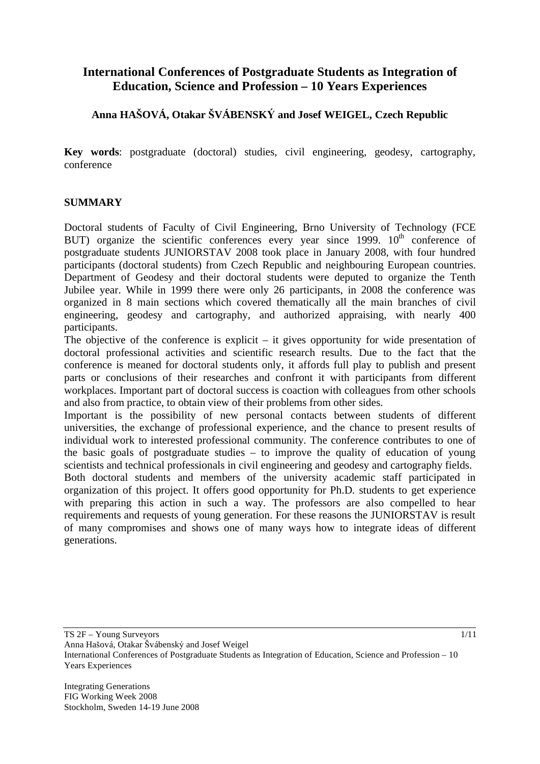## **International Conferences of Postgraduate Students as Integration of Education, Science and Profession – 10 Years Experiences**

### **Anna HAOVÁ, Otakar VÁBENSK and Josef WEIGEL, Czech Republic**

**Key words**: postgraduate (doctoral) studies, civil engineering, geodesy, cartography, conference

#### **SUMMARY**

Doctoral students of Faculty of Civil Engineering, Brno University of Technology (FCE BUT) organize the scientific conferences every year since  $1999$ .  $10<sup>th</sup>$  conference of postgraduate students JUNIORSTAV 2008 took place in January 2008, with four hundred participants (doctoral students) from Czech Republic and neighbouring European countries. Department of Geodesy and their doctoral students were deputed to organize the Tenth Jubilee year. While in 1999 there were only 26 participants, in 2008 the conference was organized in 8 main sections which covered thematically all the main branches of civil engineering, geodesy and cartography, and authorized appraising, with nearly 400 participants.

The objective of the conference is explicit – it gives opportunity for wide presentation of doctoral professional activities and scientific research results. Due to the fact that the conference is meaned for doctoral students only, it affords full play to publish and present parts or conclusions of their researches and confront it with participants from different workplaces. Important part of doctoral success is coaction with colleagues from other schools and also from practice, to obtain view of their problems from other sides.

Important is the possibility of new personal contacts between students of different universities, the exchange of professional experience, and the chance to present results of individual work to interested professional community. The conference contributes to one of the basic goals of postgraduate studies – to improve the quality of education of young scientists and technical professionals in civil engineering and geodesy and cartography fields.

Both doctoral students and members of the university academic staff participated in organization of this project. It offers good opportunity for Ph.D. students to get experience with preparing this action in such a way. The professors are also compelled to hear requirements and requests of young generation. For these reasons the JUNIORSTAV is result of many compromises and shows one of many ways how to integrate ideas of different generations.

TS 2F – Young Surveyors

Anna Hašová, Otakar Švábenský and Josef Weigel

International Conferences of Postgraduate Students as Integration of Education, Science and Profession – 10 Years Experiences

Integrating Generations FIG Working Week 2008 Stockholm, Sweden 14-19 June 2008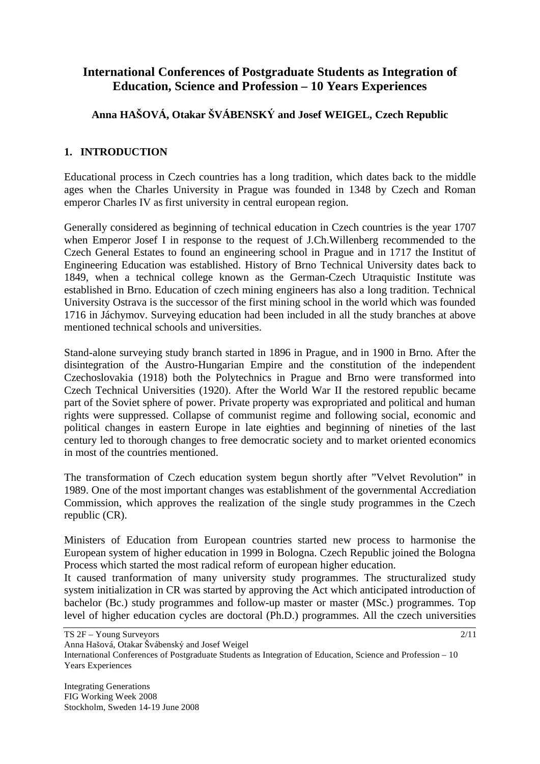# **International Conferences of Postgraduate Students as Integration of Education, Science and Profession – 10 Years Experiences**

## **Anna HAOVÁ, Otakar VÁBENSK and Josef WEIGEL, Czech Republic**

### **1. INTRODUCTION**

Educational process in Czech countries has a long tradition, which dates back to the middle ages when the Charles University in Prague was founded in 1348 by Czech and Roman emperor Charles IV as first university in central european region.

Generally considered as beginning of technical education in Czech countries is the year 1707 when Emperor Josef I in response to the request of J.Ch.Willenberg recommended to the Czech General Estates to found an engineering school in Prague and in 1717 the Institut of Engineering Education was established. History of Brno Technical University dates back to 1849, when a technical college known as the German-Czech Utraquistic Institute was established in Brno. Education of czech mining engineers has also a long tradition. Technical University Ostrava is the successor of the first mining school in the world which was founded 1716 in Jáchymov. Surveying education had been included in all the study branches at above mentioned technical schools and universities.

Stand-alone surveying study branch started in 1896 in Prague, and in 1900 in Brno. After the disintegration of the Austro-Hungarian Empire and the constitution of the independent Czechoslovakia (1918) both the Polytechnics in Prague and Brno were transformed into Czech Technical Universities (1920). After the World War II the restored republic became part of the Soviet sphere of power. Private property was expropriated and political and human rights were suppressed. Collapse of communist regime and following social, economic and political changes in eastern Europe in late eighties and beginning of nineties of the last century led to thorough changes to free democratic society and to market oriented economics in most of the countries mentioned.

The transformation of Czech education system begun shortly after "Velvet Revolution" in 1989. One of the most important changes was establishment of the governmental Accrediation Commission, which approves the realization of the single study programmes in the Czech republic (CR).

Ministers of Education from European countries started new process to harmonise the European system of higher education in 1999 in Bologna. Czech Republic joined the Bologna Process which started the most radical reform of european higher education.

It caused tranformation of many university study programmes. The structuralized study system initialization in CR was started by approving the Act which anticipated introduction of bachelor (Bc.) study programmes and follow-up master or master (MSc.) programmes. Top level of higher education cycles are doctoral (Ph.D.) programmes. All the czech universities

Anna Hašová, Otakar Švábenský and Josef Weigel

International Conferences of Postgraduate Students as Integration of Education, Science and Profession – 10 Years Experiences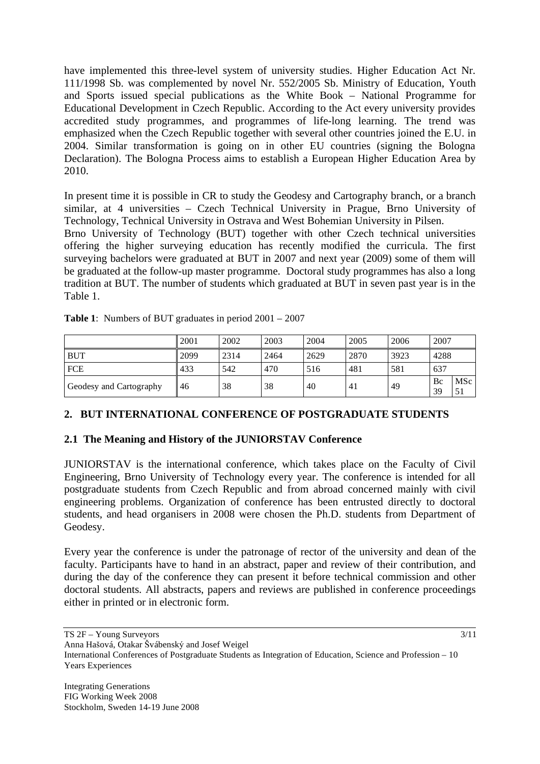have implemented this three-level system of university studies. Higher Education Act Nr. 111/1998 Sb. was complemented by novel Nr. 552/2005 Sb. Ministry of Education, Youth and Sports issued special publications as the White Book – National Programme for Educational Development in Czech Republic. According to the Act every university provides accredited study programmes, and programmes of life-long learning. The trend was emphasized when the Czech Republic together with several other countries joined the E.U. in 2004. Similar transformation is going on in other EU countries (signing the Bologna Declaration). The Bologna Process aims to establish a European Higher Education Area by 2010.

In present time it is possible in CR to study the Geodesy and Cartography branch, or a branch similar, at 4 universities – Czech Technical University in Prague, Brno University of Technology, Technical University in Ostrava and West Bohemian University in Pilsen.

Brno University of Technology (BUT) together with other Czech technical universities offering the higher surveying education has recently modified the curricula. The first surveying bachelors were graduated at BUT in 2007 and next year (2009) some of them will be graduated at the follow-up master programme. Doctoral study programmes has also a long tradition at BUT. The number of students which graduated at BUT in seven past year is in the Table 1.

|                         | 2001 | 2002 | 2003 | 2004 | 2005 | 2006 | 2007     |                       |
|-------------------------|------|------|------|------|------|------|----------|-----------------------|
| <b>BUT</b>              | 2099 | 2314 | 2464 | 2629 | 2870 | 3923 | 4288     |                       |
| <b>FCE</b>              | 433  | 542  | 470  | 516  | 481  | 581  | 637      |                       |
| Geodesy and Cartography | 46   | 38   | 38   | 40   | 41   | 49   | Bc<br>39 | MS <sub>c</sub><br>51 |

**Table 1**: Numbers of BUT graduates in period 2001 – 2007

### **2. BUT INTERNATIONAL CONFERENCE OF POSTGRADUATE STUDENTS**

### **2.1 The Meaning and History of the JUNIORSTAV Conference**

JUNIORSTAV is the international conference, which takes place on the Faculty of Civil Engineering, Brno University of Technology every year. The conference is intended for all postgraduate students from Czech Republic and from abroad concerned mainly with civil engineering problems. Organization of conference has been entrusted directly to doctoral students, and head organisers in 2008 were chosen the Ph.D. students from Department of Geodesy.

Every year the conference is under the patronage of rector of the university and dean of the faculty. Participants have to hand in an abstract, paper and review of their contribution, and during the day of the conference they can present it before technical commission and other doctoral students. All abstracts, papers and reviews are published in conference proceedings either in printed or in electronic form.

TS 2F – Young Surveyors Anna Hašová, Otakar Švábenský and Josef Weigel International Conferences of Postgraduate Students as Integration of Education, Science and Profession – 10

Years Experiences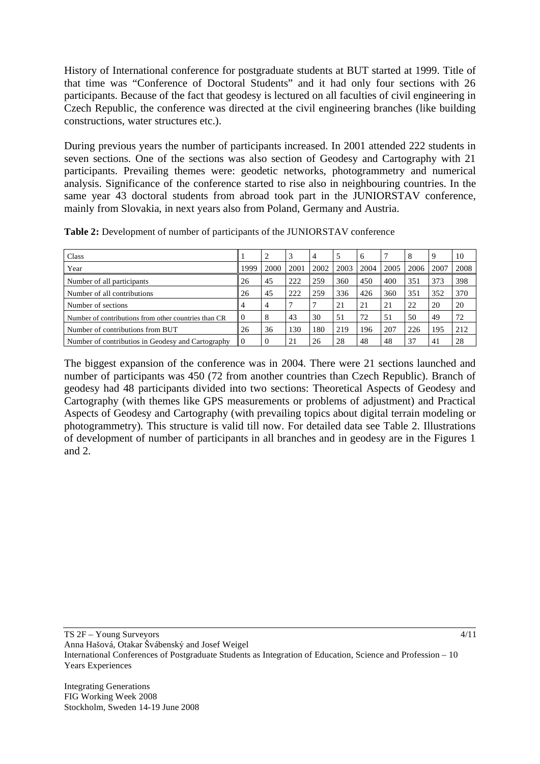History of International conference for postgraduate students at BUT started at 1999. Title of that time was "Conference of Doctoral Students" and it had only four sections with 26 participants. Because of the fact that geodesy is lectured on all faculties of civil engineering in Czech Republic, the conference was directed at the civil engineering branches (like building constructions, water structures etc.).

During previous years the number of participants increased. In 2001 attended 222 students in seven sections. One of the sections was also section of Geodesy and Cartography with 21 participants. Prevailing themes were: geodetic networks, photogrammetry and numerical analysis. Significance of the conference started to rise also in neighbouring countries. In the same year 43 doctoral students from abroad took part in the JUNIORSTAV conference, mainly from Slovakia, in next years also from Poland, Germany and Austria.

| <b>Class</b>                                         |      | 2              |      | 4    |      | 6    |      | 8    |      | 10   |
|------------------------------------------------------|------|----------------|------|------|------|------|------|------|------|------|
| Year                                                 | 1999 | 2000           | 2001 | 2002 | 2003 | 2004 | 2005 | 2006 | 2007 | 2008 |
| Number of all participants                           | 26   | 45             | 222  | 259  | 360  | 450  | 400  | 351  | 373  | 398  |
| Number of all contributions                          | 26   | 45             | 222  | 259  | 336  | 426  | 360  | 351  | 352  | 370  |
| Number of sections                                   | 4    | $\overline{4}$ |      |      | 21   | 21   | 21   | 22   | 20   | 20   |
| Number of contributions from other countries than CR | l 0  | 8              | 43   | 30   | 51   | 72   | 51   | 50   | 49   | 72   |
| Number of contributions from BUT                     |      | 36             | 130  | 180  | 219  | 196  | 207  | 226  | 195  | 212  |
| Number of contributios in Geodesy and Cartography    | l () |                | 21   | 26   | 28   | 48   | 48   | 37   | 41   | 28   |

**Table 2:** Development of number of participants of the JUNIORSTAV conference

The biggest expansion of the conference was in 2004. There were 21 sections launched and number of participants was 450 (72 from another countries than Czech Republic). Branch of geodesy had 48 participants divided into two sections: Theoretical Aspects of Geodesy and Cartography (with themes like GPS measurements or problems of adjustment) and Practical Aspects of Geodesy and Cartography (with prevailing topics about digital terrain modeling or photogrammetry). This structure is valid till now. For detailed data see Table 2. Illustrations of development of number of participants in all branches and in geodesy are in the Figures 1 and 2.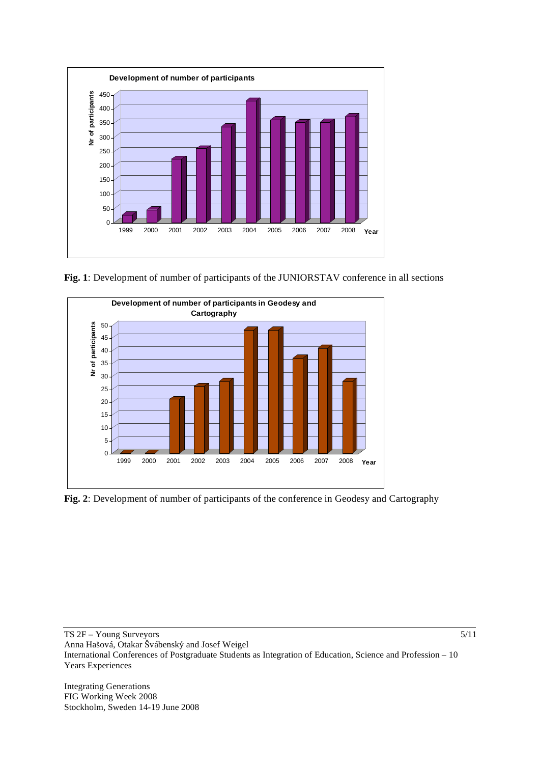

**Fig. 1**: Development of number of participants of the JUNIORSTAV conference in all sections



**Fig. 2**: Development of number of participants of the conference in Geodesy and Cartography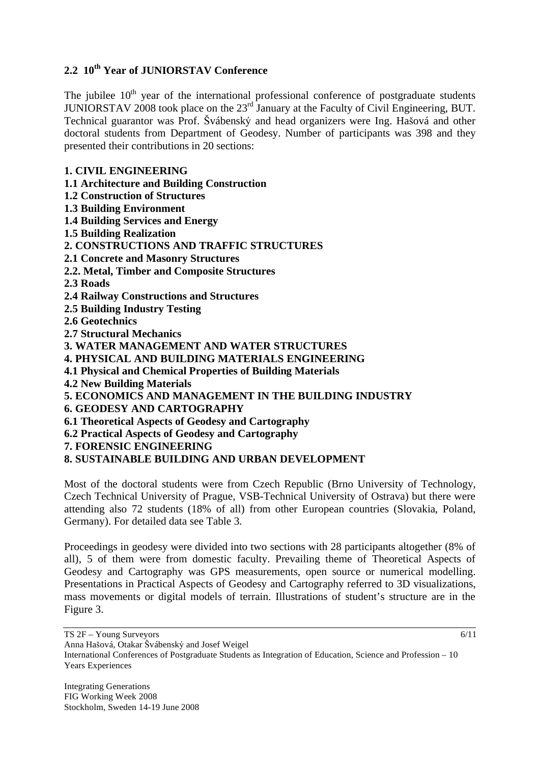### **2.2 10th Year of JUNIORSTAV Conference**

The jubilee  $10<sup>th</sup>$  year of the international professional conference of postgraduate students JUNIORSTAV 2008 took place on the 23rd January at the Faculty of Civil Engineering, BUT. Technical guarantor was Prof. Švábenský and head organizers were Ing. Hašová and other doctoral students from Department of Geodesy. Number of participants was 398 and they presented their contributions in 20 sections:

### **1. CIVIL ENGINEERING**

**1.1 Architecture and Building Construction** 

- **1.2 Construction of Structures**
- **1.3 Building Environment**
- **1.4 Building Services and Energy**
- **1.5 Building Realization**
- **2. CONSTRUCTIONS AND TRAFFIC STRUCTURES**
- **2.1 Concrete and Masonry Structures**
- **2.2. Metal, Timber and Composite Structures**

**2.3 Roads** 

- **2.4 Railway Constructions and Structures**
- **2.5 Building Industry Testing**
- **2.6 Geotechnics**
- **2.7 Structural Mechanics**
- **3. WATER MANAGEMENT AND WATER STRUCTURES**
- **4. PHYSICAL AND BUILDING MATERIALS ENGINEERING**
- **4.1 Physical and Chemical Properties of Building Materials**
- **4.2 New Building Materials**
- **5. ECONOMICS AND MANAGEMENT IN THE BUILDING INDUSTRY**
- **6. GEODESY AND CARTOGRAPHY**
- **6.1 Theoretical Aspects of Geodesy and Cartography**
- **6.2 Practical Aspects of Geodesy and Cartography**
- **7. FORENSIC ENGINEERING**

### **8. SUSTAINABLE BUILDING AND URBAN DEVELOPMENT**

Most of the doctoral students were from Czech Republic (Brno University of Technology, Czech Technical University of Prague, VSB-Technical University of Ostrava) but there were attending also 72 students (18% of all) from other European countries (Slovakia, Poland, Germany). For detailed data see Table 3.

Proceedings in geodesy were divided into two sections with 28 participants altogether (8% of all), 5 of them were from domestic faculty. Prevailing theme of Theoretical Aspects of Geodesy and Cartography was GPS measurements, open source or numerical modelling. Presentations in Practical Aspects of Geodesy and Cartography referred to 3D visualizations, mass movements or digital models of terrain. Illustrations of student's structure are in the Figure 3.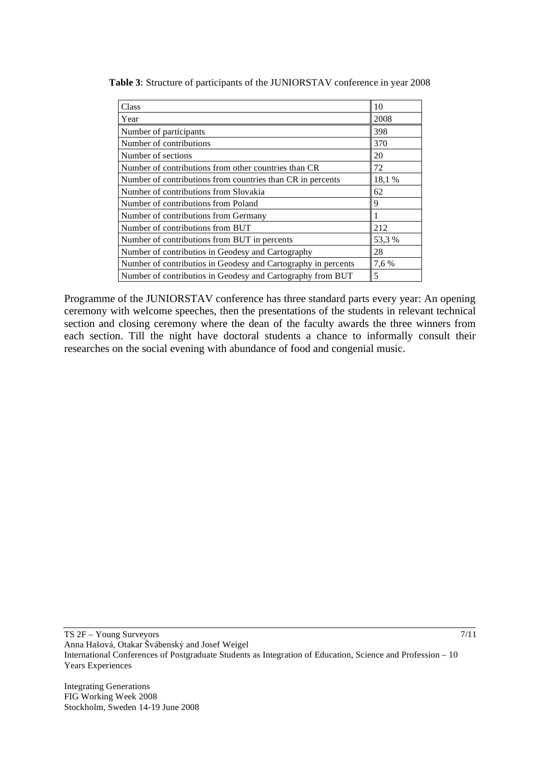| Class                                                         | 10     |
|---------------------------------------------------------------|--------|
| Year                                                          | 2008   |
| Number of participants                                        | 398    |
| Number of contributions                                       | 370    |
| Number of sections                                            | 20     |
| Number of contributions from other countries than CR          | 72     |
| Number of contributions from countries than CR in percents    | 18,1%  |
| Number of contributions from Slovakia                         | 62     |
| Number of contributions from Poland                           | 9      |
| Number of contributions from Germany                          |        |
| Number of contributions from BUT                              | 212    |
| Number of contributions from BUT in percents                  | 53,3 % |
| Number of contributios in Geodesy and Cartography             | 28     |
| Number of contributios in Geodesy and Cartography in percents | 7,6 %  |
| Number of contributios in Geodesy and Cartography from BUT    | 5      |

**Table 3**: Structure of participants of the JUNIORSTAV conference in year 2008

Programme of the JUNIORSTAV conference has three standard parts every year: An opening ceremony with welcome speeches, then the presentations of the students in relevant technical section and closing ceremony where the dean of the faculty awards the three winners from each section. Till the night have doctoral students a chance to informally consult their researches on the social evening with abundance of food and congenial music.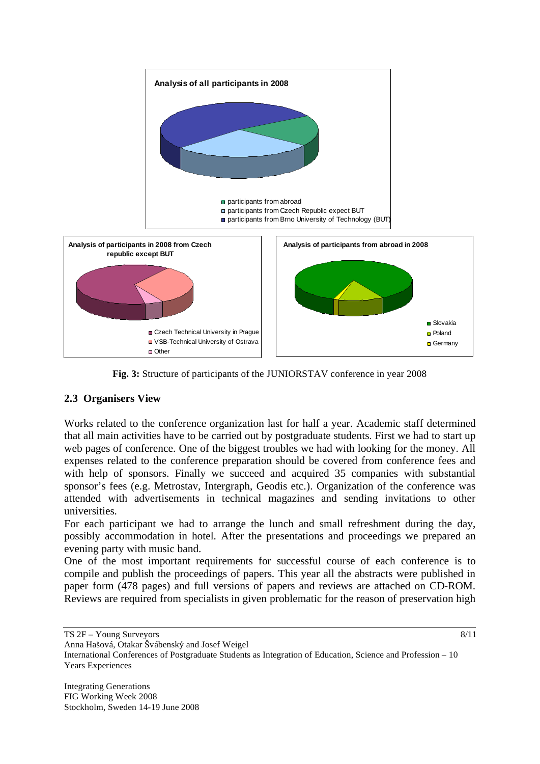

**Fig. 3:** Structure of participants of the JUNIORSTAV conference in year 2008

### **2.3 Organisers View**

Works related to the conference organization last for half a year. Academic staff determined that all main activities have to be carried out by postgraduate students. First we had to start up web pages of conference. One of the biggest troubles we had with looking for the money. All expenses related to the conference preparation should be covered from conference fees and with help of sponsors. Finally we succeed and acquired 35 companies with substantial sponsor's fees (e.g. Metrostav, Intergraph, Geodis etc.). Organization of the conference was attended with advertisements in technical magazines and sending invitations to other universities.

For each participant we had to arrange the lunch and small refreshment during the day, possibly accommodation in hotel. After the presentations and proceedings we prepared an evening party with music band.

One of the most important requirements for successful course of each conference is to compile and publish the proceedings of papers. This year all the abstracts were published in paper form (478 pages) and full versions of papers and reviews are attached on CD-ROM. Reviews are required from specialists in given problematic for the reason of preservation high

TS 2F – Young Surveyors

Anna Hašová, Otakar Švábenský and Josef Weigel

International Conferences of Postgraduate Students as Integration of Education, Science and Profession – 10 Years Experiences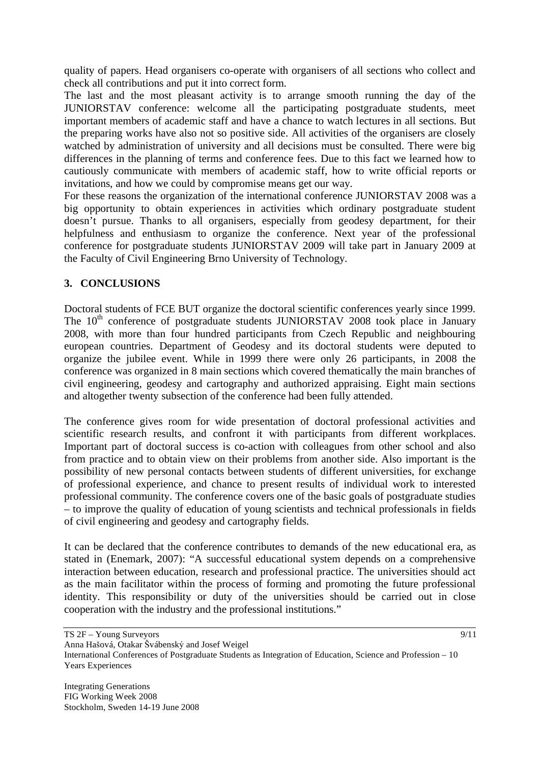quality of papers. Head organisers co-operate with organisers of all sections who collect and check all contributions and put it into correct form.

The last and the most pleasant activity is to arrange smooth running the day of the JUNIORSTAV conference: welcome all the participating postgraduate students, meet important members of academic staff and have a chance to watch lectures in all sections. But the preparing works have also not so positive side. All activities of the organisers are closely watched by administration of university and all decisions must be consulted. There were big differences in the planning of terms and conference fees. Due to this fact we learned how to cautiously communicate with members of academic staff, how to write official reports or invitations, and how we could by compromise means get our way.

For these reasons the organization of the international conference JUNIORSTAV 2008 was a big opportunity to obtain experiences in activities which ordinary postgraduate student doesn't pursue. Thanks to all organisers, especially from geodesy department, for their helpfulness and enthusiasm to organize the conference. Next year of the professional conference for postgraduate students JUNIORSTAV 2009 will take part in January 2009 at the Faculty of Civil Engineering Brno University of Technology.

### **3. CONCLUSIONS**

Doctoral students of FCE BUT organize the doctoral scientific conferences yearly since 1999. The  $10<sup>th</sup>$  conference of postgraduate students JUNIORSTAV 2008 took place in January 2008, with more than four hundred participants from Czech Republic and neighbouring european countries. Department of Geodesy and its doctoral students were deputed to organize the jubilee event. While in 1999 there were only 26 participants, in 2008 the conference was organized in 8 main sections which covered thematically the main branches of civil engineering, geodesy and cartography and authorized appraising. Eight main sections and altogether twenty subsection of the conference had been fully attended.

The conference gives room for wide presentation of doctoral professional activities and scientific research results, and confront it with participants from different workplaces. Important part of doctoral success is co-action with colleagues from other school and also from practice and to obtain view on their problems from another side. Also important is the possibility of new personal contacts between students of different universities, for exchange of professional experience, and chance to present results of individual work to interested professional community. The conference covers one of the basic goals of postgraduate studies – to improve the quality of education of young scientists and technical professionals in fields of civil engineering and geodesy and cartography fields.

It can be declared that the conference contributes to demands of the new educational era, as stated in (Enemark, 2007): "A successful educational system depends on a comprehensive interaction between education, research and professional practice. The universities should act as the main facilitator within the process of forming and promoting the future professional identity. This responsibility or duty of the universities should be carried out in close cooperation with the industry and the professional institutions."

TS 2F – Young Surveyors

Anna Hašová, Otakar Švábenský and Josef Weigel

International Conferences of Postgraduate Students as Integration of Education, Science and Profession – 10 Years Experiences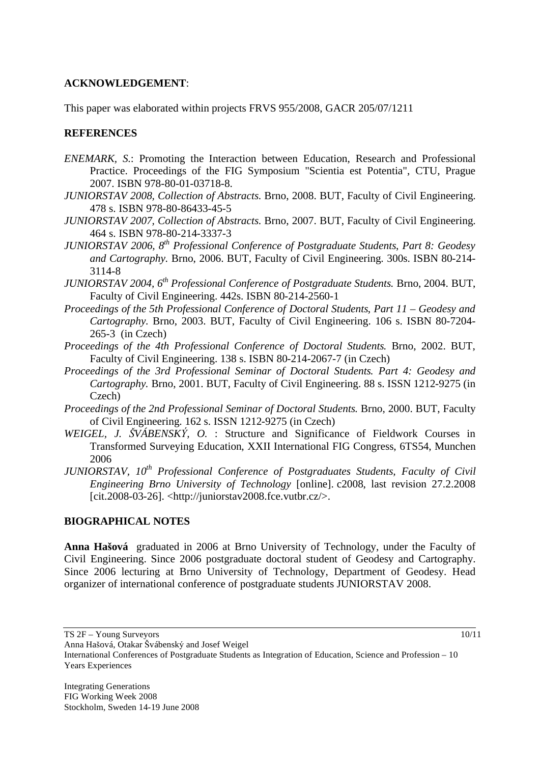#### **ACKNOWLEDGEMENT**:

This paper was elaborated within projects FRVS 955/2008, GACR 205/07/1211

#### **REFERENCES**

- *ENEMARK, S*.: Promoting the Interaction between Education, Research and Professional Practice. Proceedings of the FIG Symposium "Scientia est Potentia", CTU, Prague 2007. ISBN 978-80-01-03718-8.
- *JUNIORSTAV 2008, Collection of Abstracts*. Brno, 2008. BUT, Faculty of Civil Engineering. 478 s. ISBN 978-80-86433-45-5
- *JUNIORSTAV 2007, Collection of Abstracts*. Brno, 2007. BUT, Faculty of Civil Engineering. 464 s. ISBN 978-80-214-3337-3
- *JUNIORSTAV 2006, 8th Professional Conference of Postgraduate Students*, *Part 8: Geodesy and Cartography.* Brno, 2006. BUT, Faculty of Civil Engineering. 300s. ISBN 80-214- 3114-8
- *JUNIORSTAV 2004, 6th Professional Conference of Postgraduate Students.* Brno, 2004. BUT, Faculty of Civil Engineering. 442s. ISBN 80-214-2560-1
- *Proceedings of the 5th Professional Conference of Doctoral Students*, *Part 11 Geodesy and Cartography.* Brno, 2003. BUT, Faculty of Civil Engineering. 106 s. ISBN 80-7204- 265-3 (in Czech)
- *Proceedings of the 4th Professional Conference of Doctoral Students.* Brno, 2002. BUT, Faculty of Civil Engineering. 138 s. ISBN 80-214-2067-7 (in Czech)
- *Proceedings of the 3rd Professional Seminar of Doctoral Students. Part 4: Geodesy and Cartography.* Brno, 2001. BUT, Faculty of Civil Engineering. 88 s. ISSN 1212-9275 (in Czech)
- *Proceedings of the 2nd Professional Seminar of Doctoral Students.* Brno, 2000. BUT, Faculty of Civil Engineering. 162 s. ISSN 1212-9275 (in Czech)
- *WEIGEL, J. ŠVÁBENSKÝ, O.* : Structure and Significance of Fieldwork Courses in Transformed Surveying Education, XXII International FIG Congress, 6TS54, Munchen 2006
- *JUNIORSTAV, 10<sup>th</sup> Professional Conference of Postgraduates Students, Faculty of Civil Engineering Brno University of Technology* [online]. c2008, last revision 27.2.2008 [cit.2008-03-26]. <http://juniorstav2008.fce.vutbr.cz/>.

### **BIOGRAPHICAL NOTES**

**Anna Haová** graduated in 2006 at Brno University of Technology, under the Faculty of Civil Engineering. Since 2006 postgraduate doctoral student of Geodesy and Cartography. Since 2006 lecturing at Brno University of Technology, Department of Geodesy. Head organizer of international conference of postgraduate students JUNIORSTAV 2008.

TS 2F – Young Surveyors

Anna Hašová, Otakar Švábenský and Josef Weigel

International Conferences of Postgraduate Students as Integration of Education, Science and Profession – 10 Years Experiences